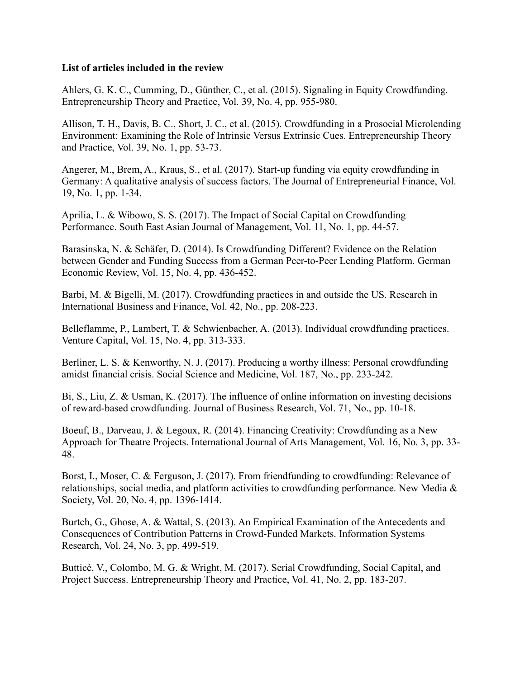## List of articles included in the review

Ahlers, G. K. C., Cumming, D., Günther, C., et al. (2015). Signaling in Equity Crowdfunding. Entrepreneurship Theory and Practice, Vol. 39, No. 4, pp. 955-980.

Allison, T. H., Davis, B. C., Short, J. C., et al. (2015). Crowdfunding in a Prosocial Microlending Environment: Examining the Role of Intrinsic Versus Extrinsic Cues. Entrepreneurship Theory and Practice, Vol. 39, No. 1, pp. 53-73.

Angerer, M., Brem, A., Kraus, S., et al. (2017). Start-up funding via equity crowdfunding in Germany: A qualitative analysis of success factors. The Journal of Entrepreneurial Finance, Vol. 19, No. 1, pp. 1-34.

Aprilia, L. & Wibowo, S. S. (2017). The Impact of Social Capital on Crowdfunding Performance. South East Asian Journal of Management, Vol. 11, No. 1, pp. 44-57.

Barasinska, N. & Schäfer, D. (2014). Is Crowdfunding Different? Evidence on the Relation between Gender and Funding Success from a German Peer-to-Peer Lending Platform. German Economic Review, Vol. 15, No. 4, pp. 436-452.

Barbi, M. & Bigelli, M. (2017). Crowdfunding practices in and outside the US. Research in International Business and Finance, Vol. 42, No., pp. 208-223.

Belleflamme, P., Lambert, T. & Schwienbacher, A. (2013). Individual crowdfunding practices. Venture Capital, Vol. 15, No. 4, pp. 313-333.

Berliner, L. S. & Kenworthy, N. J. (2017). Producing a worthy illness: Personal crowdfunding amidst financial crisis. Social Science and Medicine, Vol. 187, No., pp. 233-242.

Bi, S., Liu, Z. & Usman, K. (2017). The influence of online information on investing decisions of reward-based crowdfunding. Journal of Business Research, Vol. 71, No., pp. 10-18.

Boeuf, B., Darveau, J. & Legoux, R. (2014). Financing Creativity: Crowdfunding as a New Approach for Theatre Projects. International Journal of Arts Management, Vol. 16, No. 3, pp. 33- 48.

Borst, I., Moser, C. & Ferguson, J. (2017). From friendfunding to crowdfunding: Relevance of relationships, social media, and platform activities to crowdfunding performance. New Media & Society, Vol. 20, No. 4, pp. 1396-1414.

Burtch, G., Ghose, A. & Wattal, S. (2013). An Empirical Examination of the Antecedents and Consequences of Contribution Patterns in Crowd-Funded Markets. Information Systems Research, Vol. 24, No. 3, pp. 499-519.

Butticè, V., Colombo, M. G. & Wright, M. (2017). Serial Crowdfunding, Social Capital, and Project Success. Entrepreneurship Theory and Practice, Vol. 41, No. 2, pp. 183-207.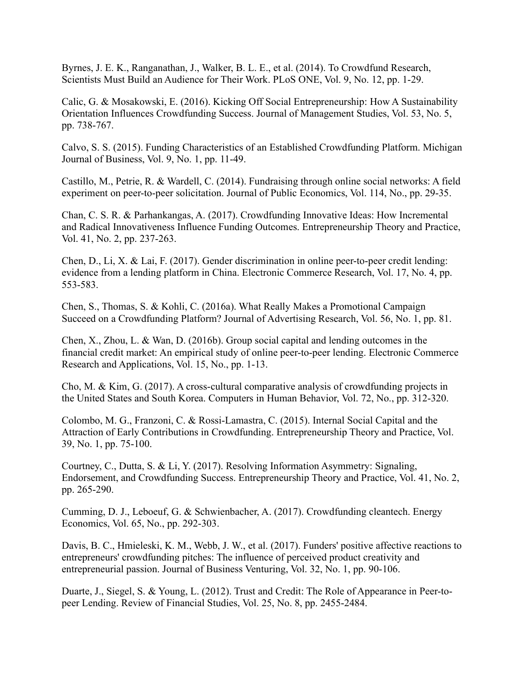Byrnes, J. E. K., Ranganathan, J., Walker, B. L. E., et al. (2014). To Crowdfund Research, Scientists Must Build an Audience for Their Work. PLoS ONE, Vol. 9, No. 12, pp. 1-29.

Calic, G. & Mosakowski, E. (2016). Kicking Off Social Entrepreneurship: How A Sustainability Orientation Influences Crowdfunding Success. Journal of Management Studies, Vol. 53, No. 5, pp. 738-767.

Calvo, S. S. (2015). Funding Characteristics of an Established Crowdfunding Platform. Michigan Journal of Business, Vol. 9, No. 1, pp. 11-49.

Castillo, M., Petrie, R. & Wardell, C. (2014). Fundraising through online social networks: A field experiment on peer-to-peer solicitation. Journal of Public Economics, Vol. 114, No., pp. 29-35.

Chan, C. S. R. & Parhankangas, A. (2017). Crowdfunding Innovative Ideas: How Incremental and Radical Innovativeness Influence Funding Outcomes. Entrepreneurship Theory and Practice, Vol. 41, No. 2, pp. 237-263.

Chen, D., Li, X. & Lai, F. (2017). Gender discrimination in online peer-to-peer credit lending: evidence from a lending platform in China. Electronic Commerce Research, Vol. 17, No. 4, pp. 553-583.

Chen, S., Thomas, S. & Kohli, C. (2016a). What Really Makes a Promotional Campaign Succeed on a Crowdfunding Platform? Journal of Advertising Research, Vol. 56, No. 1, pp. 81.

Chen, X., Zhou, L. & Wan, D. (2016b). Group social capital and lending outcomes in the financial credit market: An empirical study of online peer-to-peer lending. Electronic Commerce Research and Applications, Vol. 15, No., pp. 1-13.

Cho, M. & Kim, G. (2017). A cross-cultural comparative analysis of crowdfunding projects in the United States and South Korea. Computers in Human Behavior, Vol. 72, No., pp. 312-320.

Colombo, M. G., Franzoni, C. & Rossi-Lamastra, C. (2015). Internal Social Capital and the Attraction of Early Contributions in Crowdfunding. Entrepreneurship Theory and Practice, Vol. 39, No. 1, pp. 75-100.

Courtney, C., Dutta, S. & Li, Y. (2017). Resolving Information Asymmetry: Signaling, Endorsement, and Crowdfunding Success. Entrepreneurship Theory and Practice, Vol. 41, No. 2, pp. 265-290.

Cumming, D. J., Leboeuf, G. & Schwienbacher, A. (2017). Crowdfunding cleantech. Energy Economics, Vol. 65, No., pp. 292-303.

Davis, B. C., Hmieleski, K. M., Webb, J. W., et al. (2017). Funders' positive affective reactions to entrepreneurs' crowdfunding pitches: The influence of perceived product creativity and entrepreneurial passion. Journal of Business Venturing, Vol. 32, No. 1, pp. 90-106.

Duarte, J., Siegel, S. & Young, L. (2012). Trust and Credit: The Role of Appearance in Peer-topeer Lending. Review of Financial Studies, Vol. 25, No. 8, pp. 2455-2484.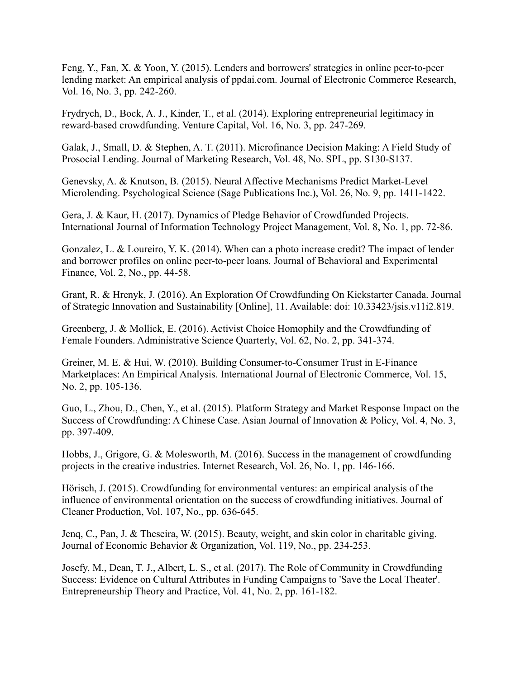Feng, Y., Fan, X. & Yoon, Y. (2015). Lenders and borrowers' strategies in online peer-to-peer lending market: An empirical analysis of ppdai.com. Journal of Electronic Commerce Research, Vol. 16, No. 3, pp. 242-260.

Frydrych, D., Bock, A. J., Kinder, T., et al. (2014). Exploring entrepreneurial legitimacy in reward-based crowdfunding. Venture Capital, Vol. 16, No. 3, pp. 247-269.

Galak, J., Small, D. & Stephen, A. T. (2011). Microfinance Decision Making: A Field Study of Prosocial Lending. Journal of Marketing Research, Vol. 48, No. SPL, pp. S130-S137.

Genevsky, A. & Knutson, B. (2015). Neural Affective Mechanisms Predict Market-Level Microlending. Psychological Science (Sage Publications Inc.), Vol. 26, No. 9, pp. 1411-1422.

Gera, J. & Kaur, H. (2017). Dynamics of Pledge Behavior of Crowdfunded Projects. International Journal of Information Technology Project Management, Vol. 8, No. 1, pp. 72-86.

Gonzalez, L. & Loureiro, Y. K. (2014). When can a photo increase credit? The impact of lender and borrower profiles on online peer-to-peer loans. Journal of Behavioral and Experimental Finance, Vol. 2, No., pp. 44-58.

Grant, R. & Hrenyk, J. (2016). An Exploration Of Crowdfunding On Kickstarter Canada. Journal of Strategic Innovation and Sustainability [Online], 11. Available: doi: 10.33423/jsis.v11i2.819.

Greenberg, J. & Mollick, E. (2016). Activist Choice Homophily and the Crowdfunding of Female Founders. Administrative Science Quarterly, Vol. 62, No. 2, pp. 341-374.

Greiner, M. E. & Hui, W. (2010). Building Consumer-to-Consumer Trust in E-Finance Marketplaces: An Empirical Analysis. International Journal of Electronic Commerce, Vol. 15, No. 2, pp. 105-136.

Guo, L., Zhou, D., Chen, Y., et al. (2015). Platform Strategy and Market Response Impact on the Success of Crowdfunding: A Chinese Case. Asian Journal of Innovation & Policy, Vol. 4, No. 3, pp. 397-409.

Hobbs, J., Grigore, G. & Molesworth, M. (2016). Success in the management of crowdfunding projects in the creative industries. Internet Research, Vol. 26, No. 1, pp. 146-166.

Hörisch, J. (2015). Crowdfunding for environmental ventures: an empirical analysis of the influence of environmental orientation on the success of crowdfunding initiatives. Journal of Cleaner Production, Vol. 107, No., pp. 636-645.

Jenq, C., Pan, J. & Theseira, W. (2015). Beauty, weight, and skin color in charitable giving. Journal of Economic Behavior & Organization, Vol. 119, No., pp. 234-253.

Josefy, M., Dean, T. J., Albert, L. S., et al. (2017). The Role of Community in Crowdfunding Success: Evidence on Cultural Attributes in Funding Campaigns to 'Save the Local Theater'. Entrepreneurship Theory and Practice, Vol. 41, No. 2, pp. 161-182.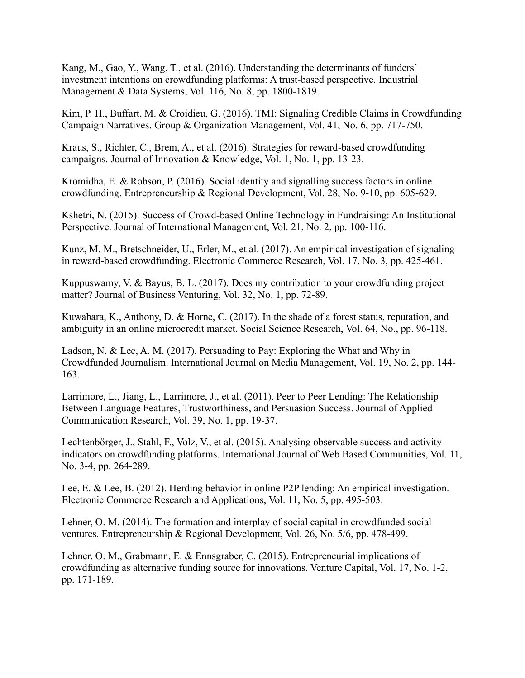Kang, M., Gao, Y., Wang, T., et al. (2016). Understanding the determinants of funders' investment intentions on crowdfunding platforms: A trust-based perspective. Industrial Management & Data Systems, Vol. 116, No. 8, pp. 1800-1819.

Kim, P. H., Buffart, M. & Croidieu, G. (2016). TMI: Signaling Credible Claims in Crowdfunding Campaign Narratives. Group & Organization Management, Vol. 41, No. 6, pp. 717-750.

Kraus, S., Richter, C., Brem, A., et al. (2016). Strategies for reward-based crowdfunding campaigns. Journal of Innovation & Knowledge, Vol. 1, No. 1, pp. 13-23.

Kromidha, E. & Robson, P. (2016). Social identity and signalling success factors in online crowdfunding. Entrepreneurship & Regional Development, Vol. 28, No. 9-10, pp. 605-629.

Kshetri, N. (2015). Success of Crowd-based Online Technology in Fundraising: An Institutional Perspective. Journal of International Management, Vol. 21, No. 2, pp. 100-116.

Kunz, M. M., Bretschneider, U., Erler, M., et al. (2017). An empirical investigation of signaling in reward-based crowdfunding. Electronic Commerce Research, Vol. 17, No. 3, pp. 425-461.

Kuppuswamy, V. & Bayus, B. L. (2017). Does my contribution to your crowdfunding project matter? Journal of Business Venturing, Vol. 32, No. 1, pp. 72-89.

Kuwabara, K., Anthony, D. & Horne, C. (2017). In the shade of a forest status, reputation, and ambiguity in an online microcredit market. Social Science Research, Vol. 64, No., pp. 96-118.

Ladson, N. & Lee, A. M. (2017). Persuading to Pay: Exploring the What and Why in Crowdfunded Journalism. International Journal on Media Management, Vol. 19, No. 2, pp. 144- 163.

Larrimore, L., Jiang, L., Larrimore, J., et al. (2011). Peer to Peer Lending: The Relationship Between Language Features, Trustworthiness, and Persuasion Success. Journal of Applied Communication Research, Vol. 39, No. 1, pp. 19-37.

Lechtenbörger, J., Stahl, F., Volz, V., et al. (2015). Analysing observable success and activity indicators on crowdfunding platforms. International Journal of Web Based Communities, Vol. 11, No. 3-4, pp. 264-289.

Lee, E. & Lee, B. (2012). Herding behavior in online P2P lending: An empirical investigation. Electronic Commerce Research and Applications, Vol. 11, No. 5, pp. 495-503.

Lehner, O. M. (2014). The formation and interplay of social capital in crowdfunded social ventures. Entrepreneurship & Regional Development, Vol. 26, No. 5/6, pp. 478-499.

Lehner, O. M., Grabmann, E. & Ennsgraber, C. (2015). Entrepreneurial implications of crowdfunding as alternative funding source for innovations. Venture Capital, Vol. 17, No. 1-2, pp. 171-189.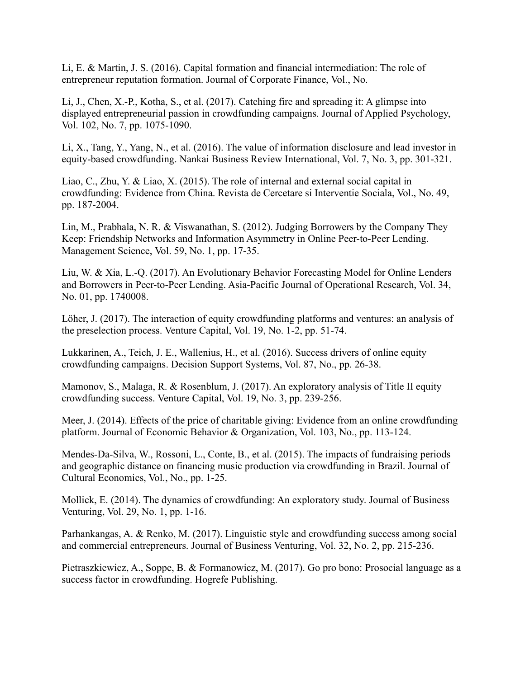Li, E. & Martin, J. S. (2016). Capital formation and financial intermediation: The role of entrepreneur reputation formation. Journal of Corporate Finance, Vol., No.

Li, J., Chen, X.-P., Kotha, S., et al. (2017). Catching fire and spreading it: A glimpse into displayed entrepreneurial passion in crowdfunding campaigns. Journal of Applied Psychology, Vol. 102, No. 7, pp. 1075-1090.

Li, X., Tang, Y., Yang, N., et al. (2016). The value of information disclosure and lead investor in equity-based crowdfunding. Nankai Business Review International, Vol. 7, No. 3, pp. 301-321.

Liao, C., Zhu, Y. & Liao, X. (2015). The role of internal and external social capital in crowdfunding: Evidence from China. Revista de Cercetare si Interventie Sociala, Vol., No. 49, pp. 187-2004.

Lin, M., Prabhala, N. R. & Viswanathan, S. (2012). Judging Borrowers by the Company They Keep: Friendship Networks and Information Asymmetry in Online Peer-to-Peer Lending. Management Science, Vol. 59, No. 1, pp. 17-35.

Liu, W. & Xia, L.-Q. (2017). An Evolutionary Behavior Forecasting Model for Online Lenders and Borrowers in Peer-to-Peer Lending. Asia-Pacific Journal of Operational Research, Vol. 34, No. 01, pp. 1740008.

Löher, J. (2017). The interaction of equity crowdfunding platforms and ventures: an analysis of the preselection process. Venture Capital, Vol. 19, No. 1-2, pp. 51-74.

Lukkarinen, A., Teich, J. E., Wallenius, H., et al. (2016). Success drivers of online equity crowdfunding campaigns. Decision Support Systems, Vol. 87, No., pp. 26-38.

Mamonov, S., Malaga, R. & Rosenblum, J. (2017). An exploratory analysis of Title II equity crowdfunding success. Venture Capital, Vol. 19, No. 3, pp. 239-256.

Meer, J. (2014). Effects of the price of charitable giving: Evidence from an online crowdfunding platform. Journal of Economic Behavior & Organization, Vol. 103, No., pp. 113-124.

Mendes-Da-Silva, W., Rossoni, L., Conte, B., et al. (2015). The impacts of fundraising periods and geographic distance on financing music production via crowdfunding in Brazil. Journal of Cultural Economics, Vol., No., pp. 1-25.

Mollick, E. (2014). The dynamics of crowdfunding: An exploratory study. Journal of Business Venturing, Vol. 29, No. 1, pp. 1-16.

Parhankangas, A. & Renko, M. (2017). Linguistic style and crowdfunding success among social and commercial entrepreneurs. Journal of Business Venturing, Vol. 32, No. 2, pp. 215-236.

Pietraszkiewicz, A., Soppe, B. & Formanowicz, M. (2017). Go pro bono: Prosocial language as a success factor in crowdfunding. Hogrefe Publishing.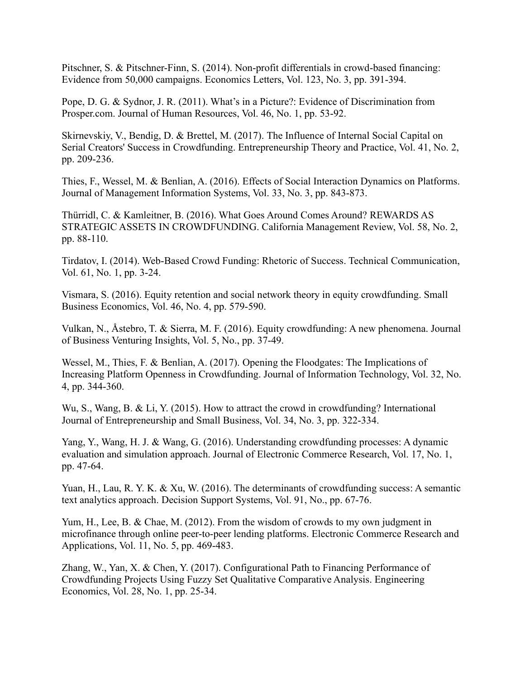Pitschner, S. & Pitschner-Finn, S. (2014). Non-profit differentials in crowd-based financing: Evidence from 50,000 campaigns. Economics Letters, Vol. 123, No. 3, pp. 391-394.

Pope, D. G. & Sydnor, J. R. (2011). What's in a Picture?: Evidence of Discrimination from Prosper.com. Journal of Human Resources, Vol. 46, No. 1, pp. 53-92.

Skirnevskiy, V., Bendig, D. & Brettel, M. (2017). The Influence of Internal Social Capital on Serial Creators' Success in Crowdfunding. Entrepreneurship Theory and Practice, Vol. 41, No. 2, pp. 209-236.

Thies, F., Wessel, M. & Benlian, A. (2016). Effects of Social Interaction Dynamics on Platforms. Journal of Management Information Systems, Vol. 33, No. 3, pp. 843-873.

Thürridl, C. & Kamleitner, B. (2016). What Goes Around Comes Around? REWARDS AS STRATEGIC ASSETS IN CROWDFUNDING. California Management Review, Vol. 58, No. 2, pp. 88-110.

Tirdatov, I. (2014). Web-Based Crowd Funding: Rhetoric of Success. Technical Communication, Vol. 61, No. 1, pp. 3-24.

Vismara, S. (2016). Equity retention and social network theory in equity crowdfunding. Small Business Economics, Vol. 46, No. 4, pp. 579-590.

Vulkan, N., Åstebro, T. & Sierra, M. F. (2016). Equity crowdfunding: A new phenomena. Journal of Business Venturing Insights, Vol. 5, No., pp. 37-49.

Wessel, M., Thies, F. & Benlian, A. (2017). Opening the Floodgates: The Implications of Increasing Platform Openness in Crowdfunding. Journal of Information Technology, Vol. 32, No. 4, pp. 344-360.

Wu, S., Wang, B. & Li, Y. (2015). How to attract the crowd in crowdfunding? International Journal of Entrepreneurship and Small Business, Vol. 34, No. 3, pp. 322-334.

Yang, Y., Wang, H. J. & Wang, G. (2016). Understanding crowdfunding processes: A dynamic evaluation and simulation approach. Journal of Electronic Commerce Research, Vol. 17, No. 1, pp. 47-64.

Yuan, H., Lau, R. Y. K. & Xu, W. (2016). The determinants of crowdfunding success: A semantic text analytics approach. Decision Support Systems, Vol. 91, No., pp. 67-76.

Yum, H., Lee, B. & Chae, M. (2012). From the wisdom of crowds to my own judgment in microfinance through online peer-to-peer lending platforms. Electronic Commerce Research and Applications, Vol. 11, No. 5, pp. 469-483.

Zhang, W., Yan, X. & Chen, Y. (2017). Configurational Path to Financing Performance of Crowdfunding Projects Using Fuzzy Set Qualitative Comparative Analysis. Engineering Economics, Vol. 28, No. 1, pp. 25-34.